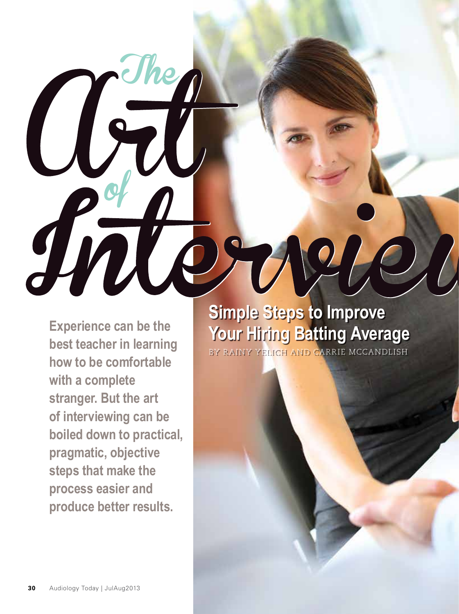**Experience can be the best teacher in learning how to be comfortable with a complete stranger. But the art of interviewing can be boiled down to practical, pragmatic, objective steps that make the process easier and produce better results.**

Centre de

Snow

# **Simple Steps to Improve Your Hiring Batting Average**

 $\frac{1}{2}$ 

BY RAINY YELICH AND CARRIE MCCANDLISH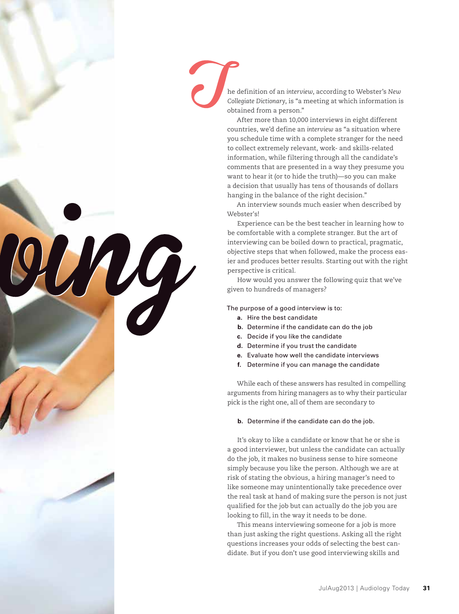

MAG

he definition of an *interview*, according to Webster's *New Collegiate Dictionary*, is "a meeting at which information is obtained from a person."

After more than 10,000 interviews in eight different countries, we'd define an *interview* as "a situation where you schedule time with a complete stranger for the need to collect extremely relevant, work- and skills-related information, while filtering through all the candidate's comments that are presented in a way they presume you want to hear it (or to hide the truth)—so you can make a decision that usually has tens of thousands of dollars hanging in the balance of the right decision."

An interview sounds much easier when described by Webster's!

Experience can be the best teacher in learning how to be comfortable with a complete stranger. But the art of interviewing can be boiled down to practical, pragmatic, objective steps that when followed, make the process easier and produces better results. Starting out with the right perspective is critical.

How would you answer the following quiz that we've given to hundreds of managers?

The purpose of a good interview is to:

- **a.** Hire the best candidate
- **b.** Determine if the candidate can do the job
- **c.** Decide if you like the candidate
- **d.** Determine if you trust the candidate
- **e.** Evaluate how well the candidate interviews
- **f.** Determine if you can manage the candidate

While each of these answers has resulted in compelling arguments from hiring managers as to why their particular pick is the right one, all of them are secondary to

#### **b.** Determine if the candidate can do the job.

It's okay to like a candidate or know that he or she is a good interviewer, but unless the candidate can actually do the job, it makes no business sense to hire someone simply because you like the person. Although we are at risk of stating the obvious, a hiring manager's need to like someone may unintentionally take precedence over the real task at hand of making sure the person is not just qualified for the job but can actually do the job you are looking to fill, in the way it needs to be done.

This means interviewing someone for a job is more than just asking the right questions. Asking all the right questions increases your odds of selecting the best candidate. But if you don't use good interviewing skills and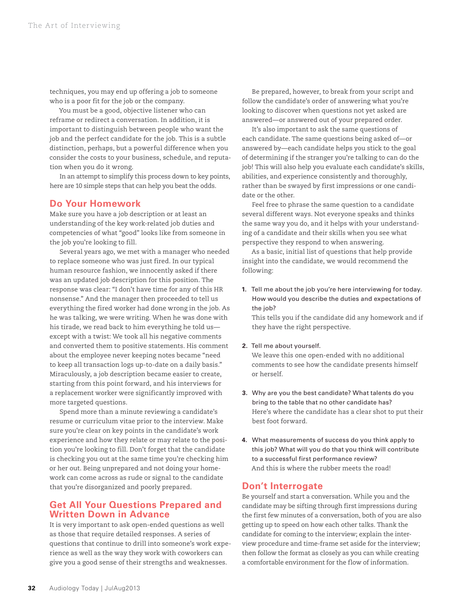techniques, you may end up offering a job to someone who is a poor fit for the job or the company.

You must be a good, objective listener who can reframe or redirect a conversation. In addition, it is important to distinguish between people who want the job and the perfect candidate for the job. This is a subtle distinction, perhaps, but a powerful difference when you consider the costs to your business, schedule, and reputation when you do it wrong.

In an attempt to simplify this process down to key points, here are 10 simple steps that can help you beat the odds.

## **Do Your Homework**

Make sure you have a job description or at least an understanding of the key work-related job duties and competencies of what "good" looks like from someone in the job you're looking to fill.

Several years ago, we met with a manager who needed to replace someone who was just fired. In our typical human resource fashion, we innocently asked if there was an updated job description for this position. The response was clear: "I don't have time for any of this HR nonsense." And the manager then proceeded to tell us everything the fired worker had done wrong in the job. As he was talking, we were writing. When he was done with his tirade, we read back to him everything he told us except with a twist: We took all his negative comments and converted them to positive statements. His comment about the employee never keeping notes became "need to keep all transaction logs up-to-date on a daily basis." Miraculously, a job description became easier to create, starting from this point forward, and his interviews for a replacement worker were significantly improved with more targeted questions.

Spend more than a minute reviewing a candidate's resume or curriculum vitae prior to the interview. Make sure you're clear on key points in the candidate's work experience and how they relate or may relate to the position you're looking to fill. Don't forget that the candidate is checking you out at the same time you're checking him or her out. Being unprepared and not doing your homework can come across as rude or signal to the candidate that you're disorganized and poorly prepared.

# **Get All Your Questions Prepared and Written Down in Advance**

It is very important to ask open-ended questions as well as those that require detailed responses. A series of questions that continue to drill into someone's work experience as well as the way they work with coworkers can give you a good sense of their strengths and weaknesses.

Be prepared, however, to break from your script and follow the candidate's order of answering what you're looking to discover when questions not yet asked are answered—or answered out of your prepared order.

It's also important to ask the same questions of each candidate. The same questions being asked of—or answered by—each candidate helps you stick to the goal of determining if the stranger you're talking to can do the job! This will also help you evaluate each candidate's skills, abilities, and experience consistently and thoroughly, rather than be swayed by first impressions or one candidate or the other.

Feel free to phrase the same question to a candidate several different ways. Not everyone speaks and thinks the same way you do, and it helps with your understanding of a candidate and their skills when you see what perspective they respond to when answering.

As a basic, initial list of questions that help provide insight into the candidate, we would recommend the following:

**1.** Tell me about the job you're here interviewing for today. How would you describe the duties and expectations of the job?

This tells you if the candidate did any homework and if they have the right perspective.

### **2.** Tell me about yourself.

We leave this one open-ended with no additional comments to see how the candidate presents himself or herself.

- **3.** Why are you the best candidate? What talents do you bring to the table that no other candidate has? Here's where the candidate has a clear shot to put their best foot forward.
- **4.** What measurements of success do you think apply to this job? What will you do that you think will contribute to a successful first performance review? And this is where the rubber meets the road!

## **Don't Interrogate**

Be yourself and start a conversation. While you and the candidate may be sifting through first impressions during the first few minutes of a conversation, both of you are also getting up to speed on how each other talks. Thank the candidate for coming to the interview; explain the interview procedure and time-frame set aside for the interview; then follow the format as closely as you can while creating a comfortable environment for the flow of information.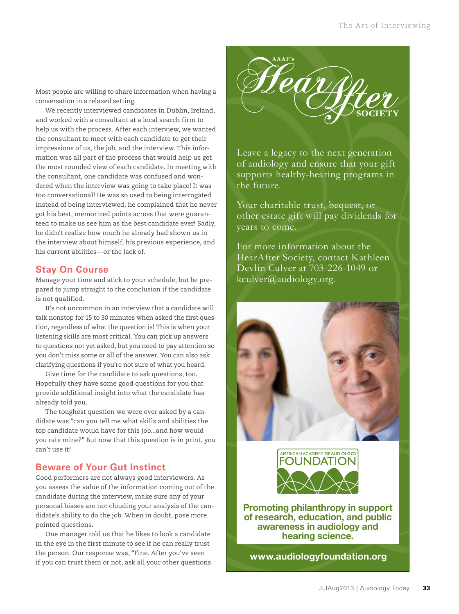Most people are willing to share information when having a conversation in a relaxed setting.

We recently interviewed candidates in Dublin, Ireland, and worked with a consultant at a local search firm to help us with the process. After each interview, we wanted the consultant to meet with each candidate to get their impressions of us, the job, and the interview. This information was all part of the process that would help us get the most rounded view of each candidate. In meeting with the consultant, one candidate was confused and wondered when the interview was going to take place! It was too conversational! He was so used to being interrogated instead of being interviewed; he complained that he never got his best, memorized points across that were guaranteed to make us see him as the best candidate ever! Sadly, he didn't realize how much he already had shown us in the interview about himself, his previous experience, and his current abilities—or the lack of.

# **Stay On Course**

Manage your time and stick to your schedule, but be prepared to jump straight to the conclusion if the candidate is not qualified.

It's not uncommon in an interview that a candidate will talk nonstop for 15 to 30 minutes when asked the first question, regardless of what the question is! This is when your listening skills are most critical. You can pick up answers to questions not yet asked, but you need to pay attention so you don't miss some or all of the answer. You can also ask clarifying questions if you're not sure of what you heard.

Give time for the candidate to ask questions, too. Hopefully they have some good questions for you that provide additional insight into what the candidate has already told you.

The toughest question we were ever asked by a candidate was "can you tell me what skills and abilities the top candidate would have for this job...and how would you rate mine?" But now that this question is in print, you can't use it!

# **Beware of Your Gut Instinct**

Good performers are not always good interviewers. As you assess the value of the information coming out of the candidate during the interview, make sure any of your personal biases are not clouding your analysis of the candidate's ability to do the job. When in doubt, pose more pointed questions.

One manager told us that he likes to look a candidate in the eye in the first minute to see if he can really trust the person. Our response was, "Fine. After you've seen if you can trust them or not, ask all your other questions



Leave a legacy to the next generation of audiology and ensure that your gift supports healthy-hearing programs in the future.

Your charitable trust, bequest, or other estate gift will pay dividends for years to come.

For more information about the HearAfter Society, contact Kathleen Devlin Culver at 703-226-1049 or kculver@audiology.org.





**Promoting philanthropy in support of research, education, and public awareness in audiology and hearing science.** 

**www.audiologyfoundation.org**